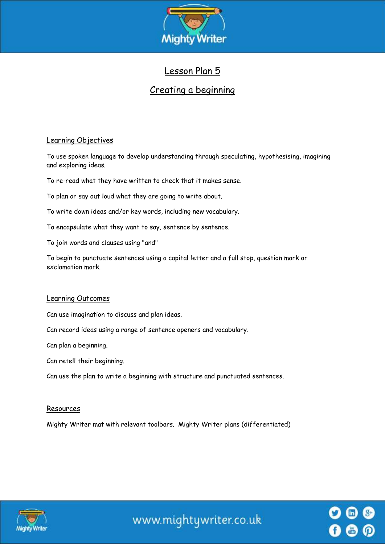

# Lesson Plan 5

# Creating a beginning

# Learning Objectives

To use spoken language to develop understanding through speculating, hypothesising, imagining and exploring ideas.

To re-read what they have written to check that it makes sense.

To plan or say out loud what they are going to write about.

To write down ideas and/or key words, including new vocabulary.

To encapsulate what they want to say, sentence by sentence.

To join words and clauses using "and"

To begin to punctuate sentences using a capital letter and a full stop, question mark or exclamation mark.

#### Learning Outcomes

Can use imagination to discuss and plan ideas.

Can record ideas using a range of sentence openers and vocabulary.

Can plan a beginning.

Can retell their beginning.

Can use the plan to write a beginning with structure and punctuated sentences.

#### Resources

Mighty Writer mat with relevant toolbars. Mighty Writer plans (differentiated)



www.mightywriter.co.uk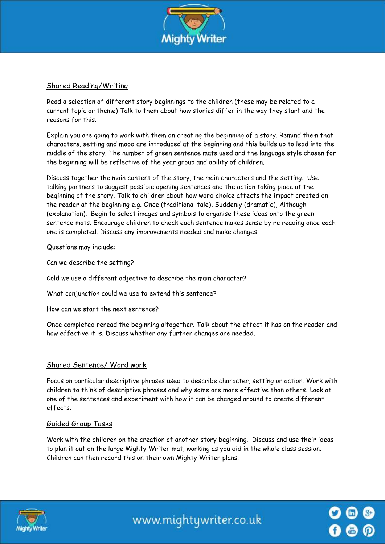

## Shared Reading/Writing

Read a selection of different story beginnings to the children (these may be related to a current topic or theme) Talk to them about how stories differ in the way they start and the reasons for this.

Explain you are going to work with them on creating the beginning of a story. Remind them that characters, setting and mood are introduced at the beginning and this builds up to lead into the middle of the story. The number of green sentence mats used and the language style chosen for the beginning will be reflective of the year group and ability of children.

Discuss together the main content of the story, the main characters and the setting. Use talking partners to suggest possible opening sentences and the action taking place at the beginning of the story. Talk to children about how word choice affects the impact created on the reader at the beginning e.g. Once (traditional tale), Suddenly (dramatic), Although (explanation). Begin to select images and symbols to organise these ideas onto the green sentence mats. Encourage children to check each sentence makes sense by re reading once each one is completed. Discuss any improvements needed and make changes.

Questions may include;

Can we describe the setting?

Cold we use a different adjective to describe the main character?

What conjunction could we use to extend this sentence?

How can we start the next sentence?

Once completed reread the beginning altogether. Talk about the effect it has on the reader and how effective it is. Discuss whether any further changes are needed.

#### Shared Sentence/ Word work

Focus on particular descriptive phrases used to describe character, setting or action. Work with children to think of descriptive phrases and why some are more effective than others. Look at one of the sentences and experiment with how it can be changed around to create different effects.

#### Guided Group Tasks

Work with the children on the creation of another story beginning. Discuss and use their ideas to plan it out on the large Mighty Writer mat, working as you did in the whole class session. Children can then record this on their own Mighty Writer plans.



www.mightywriter.co.uk